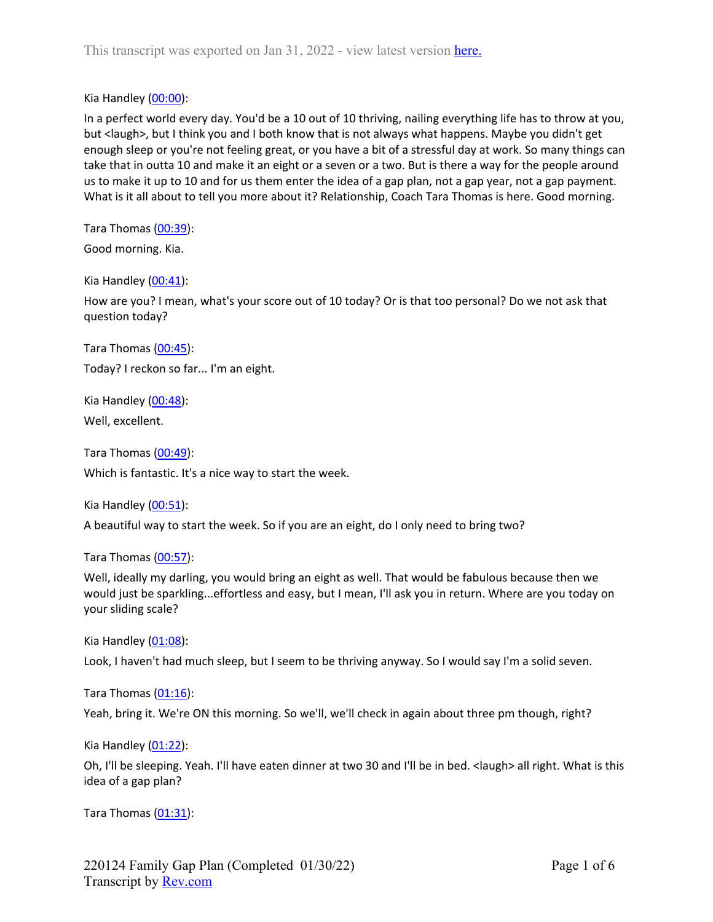Kia Handley [\(00:00\)](https://www.rev.com/transcript-editor/Edit?token=l5xCczNv3C01XSmd08bVkboiFmMyvgFi32dQ2aa2iFfTi9xSI1c1ga5XZXZjw3iuIrr6BeJ1VpZ6RUY4iYblBuTJ1VM&loadFrom=DocumentDeeplink&ts=0.3):

In a perfect world every day. You'd be a 10 out of 10 thriving, nailing everything life has to throw at you, but <laugh>, but I think you and I both know that is not always what happens. Maybe you didn't get enough sleep or you're not feeling great, or you have a bit of a stressful day at work. So many things can take that in outta 10 and make it an eight or a seven or a two. But is there a way for the people around us to make it up to 10 and for us them enter the idea of a gap plan, not a gap year, not a gap payment. What is it all about to tell you more about it? Relationship, Coach Tara Thomas is here. Good morning.

Tara Thomas [\(00:39\)](https://www.rev.com/transcript-editor/Edit?token=8sTDKXwqCmzHiTHtO2LJbXDFshQP7EqcbNW_zrUQ0uVsU6sbo_bZkXxqX2rUnT3G1od_yacHUsScCL7j_mLWxlzw4Ag&loadFrom=DocumentDeeplink&ts=39.98):

Good morning. Kia.

Kia Handley [\(00:41\)](https://www.rev.com/transcript-editor/Edit?token=6CLyGtNxXsMN1wPPgPAuLzOkuVJB9afBs95Zx9USqbFOWrWi1riMJ-Xi8xwtlr5ODBkEr4VNBoGwrv7mNUiPQaoZ80c&loadFrom=DocumentDeeplink&ts=41.04):

How are you? I mean, what's your score out of 10 today? Or is that too personal? Do we not ask that question today?

Tara Thomas [\(00:45\)](https://www.rev.com/transcript-editor/Edit?token=H8k5XIWn6QGRdO7qE-yROCJUgi_i-EIOkTFAoZCFNMnGFVh05d8i30jwCyx10hY8vy0Q0k0uaOGxvzomrxEJjEIe87U&loadFrom=DocumentDeeplink&ts=45.99): Today? I reckon so far... I'm an eight.

Kia Handley  $(00:48)$ : Well, excellent.

Tara Thomas [\(00:49\)](https://www.rev.com/transcript-editor/Edit?token=wS3dtLbR0Ouy4C_IO2Jk2KP9Ft9s6gFilQcCblYYlUO3YrYp6ACd0Jzi1Sgr3dsYq552eoVXfjvLkEj5kDm8mAgxVSE&loadFrom=DocumentDeeplink&ts=49.221): Which is fantastic. It's a nice way to start the week.

Kia Handley [\(00:51\)](https://www.rev.com/transcript-editor/Edit?token=qDMaRpNPc_fPXDGuqtxeLiZCqvIqngeWPRhKtwgPF3l2U04BZfwtogwh5P-jeMJpQzHs-ZGqqmQth7vXmfTTGHdanM0&loadFrom=DocumentDeeplink&ts=51.66):

A beautiful way to start the week. So if you are an eight, do I only need to bring two?

Tara Thomas [\(00:57\)](https://www.rev.com/transcript-editor/Edit?token=rDL-RLHw9QdFfBNkC96ECvCMI6cq4JuxbOcjQAVxwcbItoS7mt4Wcw7CxXjv_xIvvIyjGuM_-4i5bo_Z6n4Mq8qjblE&loadFrom=DocumentDeeplink&ts=57.81):

Well, ideally my darling, you would bring an eight as well. That would be fabulous because then we would just be sparkling...effortless and easy, but I mean, I'll ask you in return. Where are you today on your sliding scale?

Kia Handley [\(01:08\)](https://www.rev.com/transcript-editor/Edit?token=R1SV8s2Sy92wqrW0YSZFY834zRJT-L18Nq1d0cJuoSqYUw-yEbMgr85uF5HPEqWMw6CfrhdHTsY_ZMToFC4E2z-tjPE&loadFrom=DocumentDeeplink&ts=68.8):

Look, I haven't had much sleep, but I seem to be thriving anyway. So I would say I'm a solid seven.

Tara Thomas [\(01:16\)](https://www.rev.com/transcript-editor/Edit?token=PpICiwjJK4TO4PoY-Fs-mPEs1u_Ysg-ASMIBjzhhfc2SjYPo5ClSnDb0mBv2yV8juJ42ePW6XbzsK-Synw-rkrSm7Xg&loadFrom=DocumentDeeplink&ts=76.64):

Yeah, bring it. We're ON this morning. So we'll, we'll check in again about three pm though, right?

Kia Handley [\(01:22\)](https://www.rev.com/transcript-editor/Edit?token=dvuEpFtkHBjvvhzy7PtTtEgEiDUbIs3_x0N4hT-3SDw_WxnsmXJrguWONmwCo-DkebkzKKXgb52QAGW2j_HHQ50wNz0&loadFrom=DocumentDeeplink&ts=82.43):

Oh, I'll be sleeping. Yeah. I'll have eaten dinner at two 30 and I'll be in bed. <laugh> all right. What is this idea of a gap plan?

Tara Thomas  $(01:31)$ :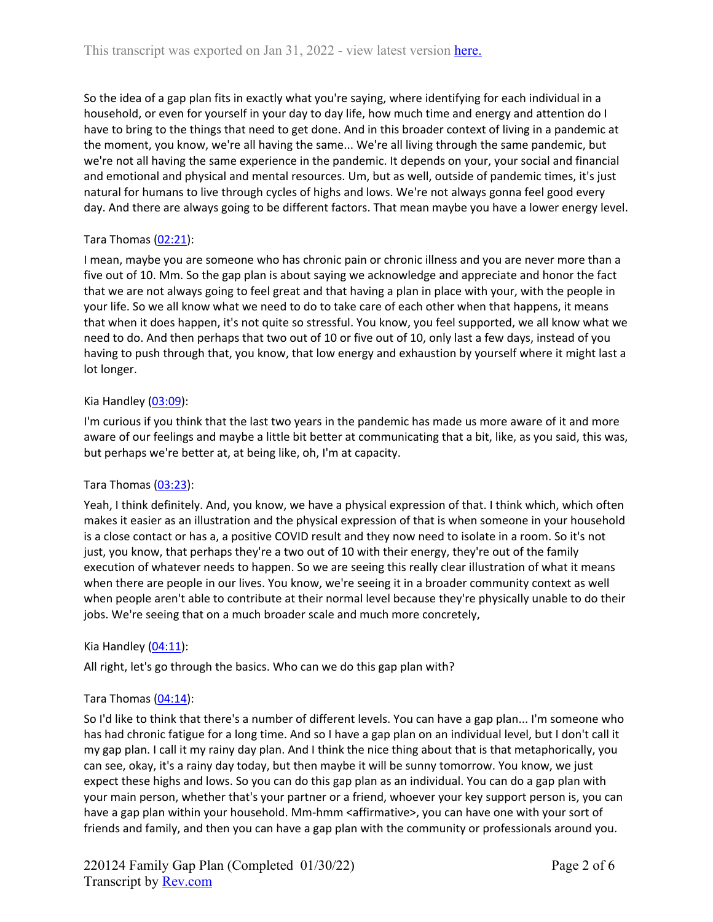So the idea of a gap plan fits in exactly what you're saying, where identifying for each individual in a household, or even for yourself in your day to day life, how much time and energy and attention do I have to bring to the things that need to get done. And in this broader context of living in a pandemic at the moment, you know, we're all having the same... We're all living through the same pandemic, but we're not all having the same experience in the pandemic. It depends on your, your social and financial and emotional and physical and mental resources. Um, but as well, outside of pandemic times, it's just natural for humans to live through cycles of highs and lows. We're not always gonna feel good every day. And there are always going to be different factors. That mean maybe you have a lower energy level.

# Tara Thomas  $(02:21)$ :

I mean, maybe you are someone who has chronic pain or chronic illness and you are never more than a five out of 10. Mm. So the gap plan is about saying we acknowledge and appreciate and honor the fact that we are not always going to feel great and that having a plan in place with your, with the people in your life. So we all know what we need to do to take care of each other when that happens, it means that when it does happen, it's not quite so stressful. You know, you feel supported, we all know what we need to do. And then perhaps that two out of 10 or five out of 10, only last a few days, instead of you having to push through that, you know, that low energy and exhaustion by yourself where it might last a lot longer.

# Kia Handley  $(03:09)$ :

I'm curious if you think that the last two years in the pandemic has made us more aware of it and more aware of our feelings and maybe a little bit better at communicating that a bit, like, as you said, this was, but perhaps we're better at, at being like, oh, I'm at capacity.

# Tara Thomas [\(03:23\)](https://www.rev.com/transcript-editor/Edit?token=sFw-BpKpABOg2G7lrDgwHLeP5SIhQgqfgnPY-uureNT29iouKQYw7XKQck0S98sYOGsCw1qPUQM3a3iaaYUNSNK0WAg&loadFrom=DocumentDeeplink&ts=203.3):

Yeah, I think definitely. And, you know, we have a physical expression of that. I think which, which often makes it easier as an illustration and the physical expression of that is when someone in your household is a close contact or has a, a positive COVID result and they now need to isolate in a room. So it's not just, you know, that perhaps they're a two out of 10 with their energy, they're out of the family execution of whatever needs to happen. So we are seeing this really clear illustration of what it means when there are people in our lives. You know, we're seeing it in a broader community context as well when people aren't able to contribute at their normal level because they're physically unable to do their jobs. We're seeing that on a much broader scale and much more concretely,

# Kia Handley  $(04:11)$ :

All right, let's go through the basics. Who can we do this gap plan with?

# Tara Thomas [\(04:14\)](https://www.rev.com/transcript-editor/Edit?token=fuqq02S29RlFqXQaLJDmapgZP76z738iKw4SHarA235WDE_X8PYBIfkntg-LT38LZNX67zmatjg-uiv2rVNd4-gN-OI&loadFrom=DocumentDeeplink&ts=254.95):

So I'd like to think that there's a number of different levels. You can have a gap plan... I'm someone who has had chronic fatigue for a long time. And so I have a gap plan on an individual level, but I don't call it my gap plan. I call it my rainy day plan. And I think the nice thing about that is that metaphorically, you can see, okay, it's a rainy day today, but then maybe it will be sunny tomorrow. You know, we just expect these highs and lows. So you can do this gap plan as an individual. You can do a gap plan with your main person, whether that's your partner or a friend, whoever your key support person is, you can have a gap plan within your household. Mm-hmm <affirmative>, you can have one with your sort of friends and family, and then you can have a gap plan with the community or professionals around you.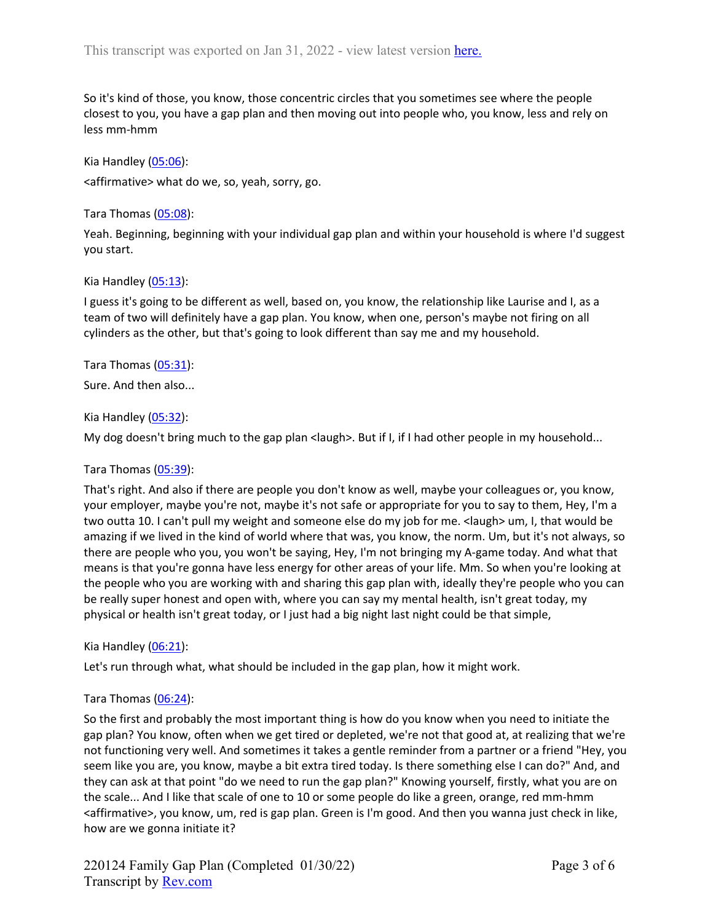So it's kind of those, you know, those concentric circles that you sometimes see where the people closest to you, you have a gap plan and then moving out into people who, you know, less and rely on less mm-hmm

Kia Handley  $(05:06)$ : <affirmative> what do we, so, yeah, sorry, go.

Tara Thomas [\(05:08\)](https://www.rev.com/transcript-editor/Edit?token=0nDgWbDSCLFE7MQ60yUgjy7edyRnkr7mkSjg2W7SrRIOdIw5bILq6aGlpfrJoL7q3zpLWzPwxW4nyAkG53IwR4hrJ5U&loadFrom=DocumentDeeplink&ts=308.61):

Yeah. Beginning, beginning with your individual gap plan and within your household is where I'd suggest you start.

Kia Handley [\(05:13\)](https://www.rev.com/transcript-editor/Edit?token=T-YPjW9MIQ4e7K8BZ-g0nGEtR7rItOmXCo3abKdqJpd2cZEGTWnjBDAq1LvebZV8T7zFNoRNJol-c_FxgE2Ruljsii8&loadFrom=DocumentDeeplink&ts=313.06):

I guess it's going to be different as well, based on, you know, the relationship like Laurise and I, as a team of two will definitely have a gap plan. You know, when one, person's maybe not firing on all cylinders as the other, but that's going to look different than say me and my household.

Tara Thomas [\(05:31\)](https://www.rev.com/transcript-editor/Edit?token=SbGwvSyp1N7CFXue6vDerf-T0GS2kGfZ3HvP_hm5LvtWdk4KHnDY5XKPtEhO_H3AepDmQbdn2EHkVapgr9iu9QI89EY&loadFrom=DocumentDeeplink&ts=331.4):

Sure. And then also...

Kia Handley [\(05:32\)](https://www.rev.com/transcript-editor/Edit?token=TeQh8HId-uPt-kYew-OCFUBoVj7NMvIz4S8rP0DipThgK7WmQf9Rl_TDwgm_Wr-I8i1oO7Odbecz2Z3AvQuMyLnUq18&loadFrom=DocumentDeeplink&ts=332.33):

My dog doesn't bring much to the gap plan <laugh>. But if I, if I had other people in my household...

Tara Thomas [\(05:39\)](https://www.rev.com/transcript-editor/Edit?token=JjxcBNI4zLW2EKyF374Xv1QbUfnMGYgd4D1Y_Hbp3V0OML8a8U8CtrPvL09p7BqIIesAU2_MZs1zkwILTP8E_PEQrxc&loadFrom=DocumentDeeplink&ts=339.17):

That's right. And also if there are people you don't know as well, maybe your colleagues or, you know, your employer, maybe you're not, maybe it's not safe or appropriate for you to say to them, Hey, I'm a two outta 10. I can't pull my weight and someone else do my job for me. < laugh> um, I, that would be amazing if we lived in the kind of world where that was, you know, the norm. Um, but it's not always, so there are people who you, you won't be saying, Hey, I'm not bringing my A-game today. And what that means is that you're gonna have less energy for other areas of your life. Mm. So when you're looking at the people who you are working with and sharing this gap plan with, ideally they're people who you can be really super honest and open with, where you can say my mental health, isn't great today, my physical or health isn't great today, or I just had a big night last night could be that simple,

Kia Handley [\(06:21\)](https://www.rev.com/transcript-editor/Edit?token=Y3dJmxpPT8Dzl11vLp5XZcFtKHB2YgdQxc9TzJXcszCPNsW4yl3QhDGl4HckYImMOUhsQoVjXhlIx7gcAzdXLNqQ1jQ&loadFrom=DocumentDeeplink&ts=381.04):

Let's run through what, what should be included in the gap plan, how it might work.

#### Tara Thomas [\(06:24\)](https://www.rev.com/transcript-editor/Edit?token=zStbd6Ud628qlU8fBuHef7C_s9UvPMzcAeKmN_renDygb6HmWeZaD-dAAN0a1ZHnoaJ30Cf1JN-UKnfpdYIeZ1sLAtU&loadFrom=DocumentDeeplink&ts=384.93):

So the first and probably the most important thing is how do you know when you need to initiate the gap plan? You know, often when we get tired or depleted, we're not that good at, at realizing that we're not functioning very well. And sometimes it takes a gentle reminder from a partner or a friend "Hey, you seem like you are, you know, maybe a bit extra tired today. Is there something else I can do?" And, and they can ask at that point "do we need to run the gap plan?" Knowing yourself, firstly, what you are on the scale... And I like that scale of one to 10 or some people do like a green, orange, red mm-hmm <affirmative>, you know, um, red is gap plan. Green is I'm good. And then you wanna just check in like, how are we gonna initiate it?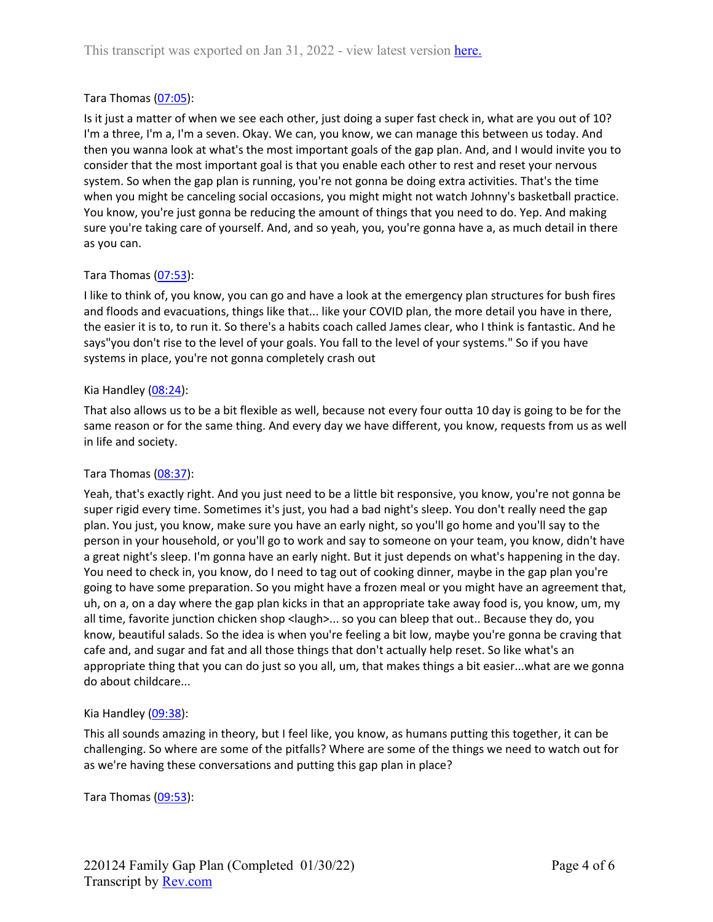## Tara Thomas [\(07:05\)](https://www.rev.com/transcript-editor/Edit?token=yEM7u0E94IBG4EDEYOhy5kevLjHIQYyeQxQtV9PMI-wCPrcnREv7zwjQmDQn_9uzlxRgmE6gUjxIZLkGhZciwPWSVA8&loadFrom=DocumentDeeplink&ts=425.23):

Is it just a matter of when we see each other, just doing a super fast check in, what are you out of 10? I'm a three, I'm a, I'm a seven. Okay. We can, you know, we can manage this between us today. And then you wanna look at what's the most important goals of the gap plan. And, and I would invite you to consider that the most important goal is that you enable each other to rest and reset your nervous system. So when the gap plan is running, you're not gonna be doing extra activities. That's the time when you might be canceling social occasions, you might might not watch Johnny's basketball practice. You know, you're just gonna be reducing the amount of things that you need to do. Yep. And making sure you're taking care of yourself. And, and so yeah, you, you're gonna have a, as much detail in there as you can.

## Tara Thomas [\(07:53\)](https://www.rev.com/transcript-editor/Edit?token=EvQDU_N2sdh_hrd3qeBxsEF8Bnfry2OtBPDe0JEJRF5Xjna9utrvGOnEfSTSIxV5lhfTVrQJSnDNxhHWBg95mTjLw7c&loadFrom=DocumentDeeplink&ts=473.91):

I like to think of, you know, you can go and have a look at the emergency plan structures for bush fires and floods and evacuations, things like that... like your COVID plan, the more detail you have in there, the easier it is to, to run it. So there's a habits coach called James clear, who I think is fantastic. And he says"you don't rise to the level of your goals. You fall to the level of your systems." So if you have systems in place, you're not gonna completely crash out

#### Kia Handley  $(08:24)$ :

That also allows us to be a bit flexible as well, because not every four outta 10 day is going to be for the same reason or for the same thing. And every day we have different, you know, requests from us as well in life and society.

#### Tara Thomas [\(08:37\)](https://www.rev.com/transcript-editor/Edit?token=Xr8YDv51V0Lo2aDqkBO2rn5R7P5nQePdeMKN6QOD5PjtJk-oNgYarCNV2ewdNZ7gwxj6FAIXCMJ5RMNF_4oiFrmHU78&loadFrom=DocumentDeeplink&ts=517.13):

Yeah, that's exactly right. And you just need to be a little bit responsive, you know, you're not gonna be super rigid every time. Sometimes it's just, you had a bad night's sleep. You don't really need the gap plan. You just, you know, make sure you have an early night, so you'll go home and you'll say to the person in your household, or you'll go to work and say to someone on your team, you know, didn't have a great night's sleep. I'm gonna have an early night. But it just depends on what's happening in the day. You need to check in, you know, do I need to tag out of cooking dinner, maybe in the gap plan you're going to have some preparation. So you might have a frozen meal or you might have an agreement that, uh, on a, on a day where the gap plan kicks in that an appropriate take away food is, you know, um, my all time, favorite junction chicken shop <laugh>... so you can bleep that out.. Because they do, you know, beautiful salads. So the idea is when you're feeling a bit low, maybe you're gonna be craving that cafe and, and sugar and fat and all those things that don't actually help reset. So like what's an appropriate thing that you can do just so you all, um, that makes things a bit easier...what are we gonna do about childcare...

#### Kia Handley  $(09:38)$ :

This all sounds amazing in theory, but I feel like, you know, as humans putting this together, it can be challenging. So where are some of the pitfalls? Where are some of the things we need to watch out for as we're having these conversations and putting this gap plan in place?

Tara Thomas [\(09:53\)](https://www.rev.com/transcript-editor/Edit?token=wxhmNaWHDUmBpsidzwLT0IA7MGYS5ghzcrNhRgbIHLnYR3RfyxNUOhTo4-f-GZHWokS-2qgz56S1QLpR92Kpn4LRZdA&loadFrom=DocumentDeeplink&ts=593.17):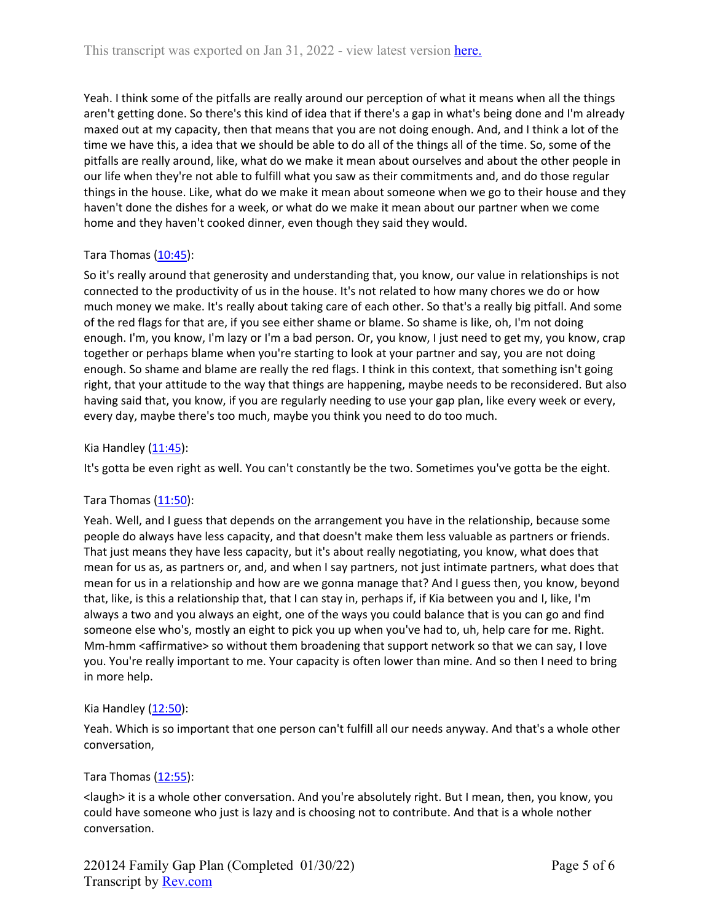Yeah. I think some of the pitfalls are really around our perception of what it means when all the things aren't getting done. So there's this kind of idea that if there's a gap in what's being done and I'm already maxed out at my capacity, then that means that you are not doing enough. And, and I think a lot of the time we have this, a idea that we should be able to do all of the things all of the time. So, some of the pitfalls are really around, like, what do we make it mean about ourselves and about the other people in our life when they're not able to fulfill what you saw as their commitments and, and do those regular things in the house. Like, what do we make it mean about someone when we go to their house and they haven't done the dishes for a week, or what do we make it mean about our partner when we come home and they haven't cooked dinner, even though they said they would.

# Tara Thomas  $(10:45)$ :

So it's really around that generosity and understanding that, you know, our value in relationships is not connected to the productivity of us in the house. It's not related to how many chores we do or how much money we make. It's really about taking care of each other. So that's a really big pitfall. And some of the red flags for that are, if you see either shame or blame. So shame is like, oh, I'm not doing enough. I'm, you know, I'm lazy or I'm a bad person. Or, you know, I just need to get my, you know, crap together or perhaps blame when you're starting to look at your partner and say, you are not doing enough. So shame and blame are really the red flags. I think in this context, that something isn't going right, that your attitude to the way that things are happening, maybe needs to be reconsidered. But also having said that, you know, if you are regularly needing to use your gap plan, like every week or every, every day, maybe there's too much, maybe you think you need to do too much.

## Kia Handley  $(11:45)$ :

It's gotta be even right as well. You can't constantly be the two. Sometimes you've gotta be the eight.

#### Tara Thomas [\(11:50\)](https://www.rev.com/transcript-editor/Edit?token=FLRxrjiU4RTpYubHcnO2IugwsxFkjmS1P63rtBbHsOhERotSe-FOK2UjkEXv-lRyGUDY8BIZqs6TJy9TJAIF96y_mDI&loadFrom=DocumentDeeplink&ts=710.68):

Yeah. Well, and I guess that depends on the arrangement you have in the relationship, because some people do always have less capacity, and that doesn't make them less valuable as partners or friends. That just means they have less capacity, but it's about really negotiating, you know, what does that mean for us as, as partners or, and, and when I say partners, not just intimate partners, what does that mean for us in a relationship and how are we gonna manage that? And I guess then, you know, beyond that, like, is this a relationship that, that I can stay in, perhaps if, if Kia between you and I, like, I'm always a two and you always an eight, one of the ways you could balance that is you can go and find someone else who's, mostly an eight to pick you up when you've had to, uh, help care for me. Right. Mm-hmm <affirmative> so without them broadening that support network so that we can say, I love you. You're really important to me. Your capacity is often lower than mine. And so then I need to bring in more help.

#### Kia Handley  $(12:50)$ :

Yeah. Which is so important that one person can't fulfill all our needs anyway. And that's a whole other conversation,

#### Tara Thomas [\(12:55\)](https://www.rev.com/transcript-editor/Edit?token=BADtj7yEHm99RgOXS51dseeuWe_hYc1ANCAkJUTHWw2l9Pe3bcIYC8rXoL_Ek3rLOMKqYU_k0PP9mQsUww-L3K9ppA8&loadFrom=DocumentDeeplink&ts=775.21):

<laugh> it is a whole other conversation. And you're absolutely right. But I mean, then, you know, you could have someone who just is lazy and is choosing not to contribute. And that is a whole nother conversation.